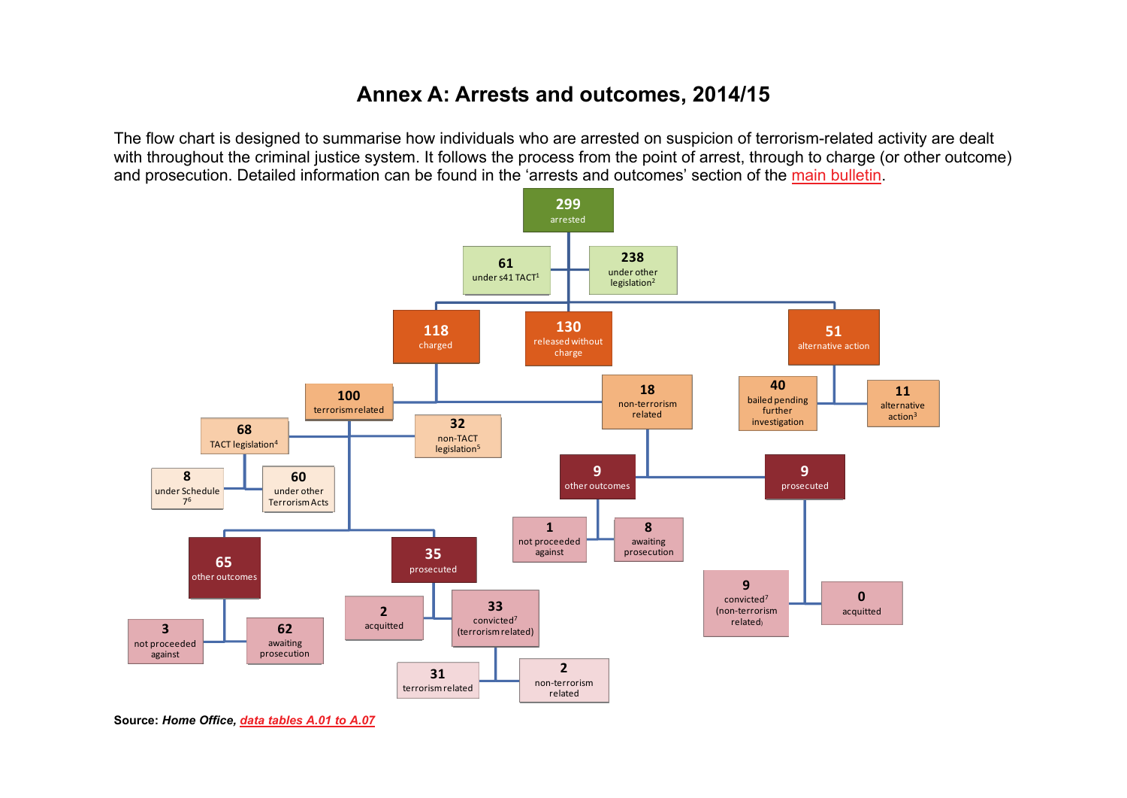## **Annex A: Arrests and outcomes, 2014/15**

The flow chart is designed to summarise how individuals who are arrested on suspicion of terrorism-related activity are dealt with throughout the criminal justice system. It follows the process from the point of arrest, through to charge (or other outcome) and prosecution. Detailed information can be found in the 'arrests and outcomes' section of the [main bulletin](https://www.gov.uk/government/statistics/operation-of-police-powers-under-the-terrorism-act-2000-financial-year-ending-march-2015).



**Source:** *Home Office, [data tables A.01 to A.07](https://www.gov.uk/government/uploads/system/uploads/attachment_data/file/457995/operation-police-powers-terrorism-1415-tabs.ods)*